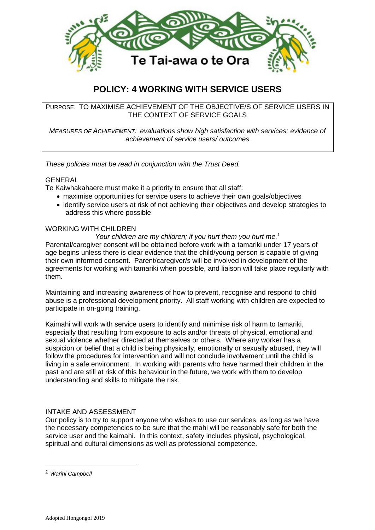

# **POLICY: 4 WORKING WITH SERVICE USERS**

PURPOSE: TO MAXIMISE ACHIEVEMENT OF THE OBJECTIVE/S OF SERVICE USERS IN THE CONTEXT OF SERVICE GOALS

*MEASURES OF ACHIEVEMENT: evaluations show high satisfaction with services; evidence of achievement of service users/ outcomes*

*These policies must be read in conjunction with the Trust Deed.*

#### GENERAL

Te Kaiwhakahaere must make it a priority to ensure that all staff:

- maximise opportunities for service users to achieve their own goals/objectives
- identify service users at risk of not achieving their objectives and develop strategies to address this where possible

## WORKING WITH CHILDREN

Your children are my children; if you hurt them you hurt me.<sup>1</sup> Parental/caregiver consent will be obtained before work with a tamariki under 17 years of age begins unless there is clear evidence that the child/young person is capable of giving their own informed consent. Parent/caregiver/s will be involved in development of the agreements for working with tamariki when possible, and liaison will take place regularly with them.

Maintaining and increasing awareness of how to prevent, recognise and respond to child abuse is a professional development priority. All staff working with children are expected to participate in on-going training.

Kaimahi will work with service users to identify and minimise risk of harm to tamariki, especially that resulting from exposure to acts and/or threats of physical, emotional and sexual violence whether directed at themselves or others. Where any worker has a suspicion or belief that a child is being physically, emotionally or sexually abused, they will follow the procedures for intervention and will not conclude involvement until the child is living in a safe environment. In working with parents who have harmed their children in the past and are still at risk of this behaviour in the future, we work with them to develop understanding and skills to mitigate the risk.

## INTAKE AND ASSESSMENT

Our policy is to try to support anyone who wishes to use our services, as long as we have the necessary competencies to be sure that the mahi will be reasonably safe for both the service user and the kaimahi. In this context, safety includes physical, psychological, spiritual and cultural dimensions as well as professional competence.

1

*<sup>1</sup> Warihi Campbell*